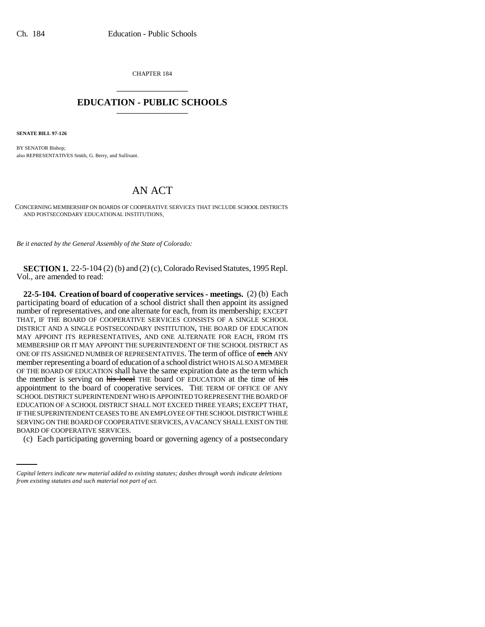CHAPTER 184 \_\_\_\_\_\_\_\_\_\_\_\_\_\_\_

## **EDUCATION - PUBLIC SCHOOLS** \_\_\_\_\_\_\_\_\_\_\_\_\_\_\_

**SENATE BILL 97-126**

BY SENATOR Bishop; also REPRESENTATIVES Smith, G. Berry, and Sullivant.

## AN ACT

CONCERNING MEMBERSHIP ON BOARDS OF COOPERATIVE SERVICES THAT INCLUDE SCHOOL DISTRICTS AND POSTSECONDARY EDUCATIONAL INSTITUTIONS.

*Be it enacted by the General Assembly of the State of Colorado:*

**SECTION 1.** 22-5-104 (2) (b) and (2) (c), Colorado Revised Statutes, 1995 Repl. Vol., are amended to read:

SERVING ON THE BOARD OF COOPERATIVE SERVICES, A VACANCY SHALL EXIST ON THE **22-5-104. Creation of board of cooperative services - meetings.** (2) (b) Each participating board of education of a school district shall then appoint its assigned number of representatives, and one alternate for each, from its membership; EXCEPT THAT, IF THE BOARD OF COOPERATIVE SERVICES CONSISTS OF A SINGLE SCHOOL DISTRICT AND A SINGLE POSTSECONDARY INSTITUTION, THE BOARD OF EDUCATION MAY APPOINT ITS REPRESENTATIVES, AND ONE ALTERNATE FOR EACH, FROM ITS MEMBERSHIP OR IT MAY APPOINT THE SUPERINTENDENT OF THE SCHOOL DISTRICT AS ONE OF ITS ASSIGNED NUMBER OF REPRESENTATIVES. The term of office of each ANY member representing a board of education of a school district WHO IS ALSO A MEMBER OF THE BOARD OF EDUCATION shall have the same expiration date as the term which the member is serving on his local THE board OF EDUCATION at the time of his appointment to the board of cooperative services. THE TERM OF OFFICE OF ANY SCHOOL DISTRICT SUPERINTENDENT WHO IS APPOINTED TO REPRESENT THE BOARD OF EDUCATION OF A SCHOOL DISTRICT SHALL NOT EXCEED THREE YEARS; EXCEPT THAT, IF THE SUPERINTENDENT CEASES TO BE AN EMPLOYEE OF THE SCHOOL DISTRICT WHILE BOARD OF COOPERATIVE SERVICES.

(c) Each participating governing board or governing agency of a postsecondary

*Capital letters indicate new material added to existing statutes; dashes through words indicate deletions from existing statutes and such material not part of act.*